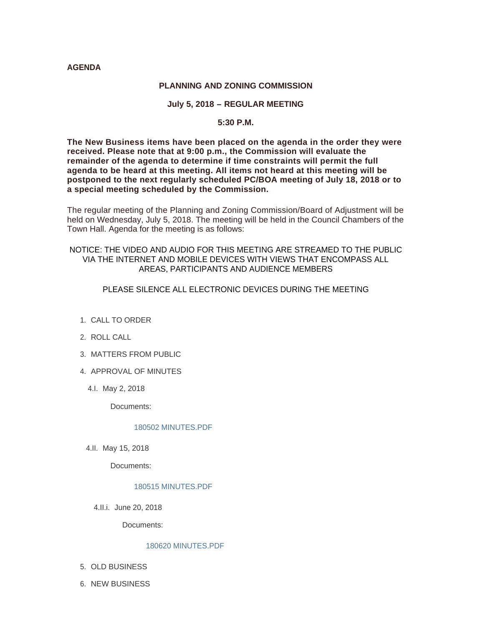## **AGENDA**

### **PLANNING AND ZONING COMMISSION**

# **July 5, 2018 – REGULAR MEETING**

# **5:30 P.M.**

**The New Business items have been placed on the agenda in the order they were received. Please note that at 9:00 p.m., the Commission will evaluate the remainder of the agenda to determine if time constraints will permit the full agenda to be heard at this meeting. All items not heard at this meeting will be postponed to the next regularly scheduled PC/BOA meeting of July 18, 2018 or to a special meeting scheduled by the Commission.**

The regular meeting of the Planning and Zoning Commission/Board of Adjustment will be held on Wednesday, July 5, 2018. The meeting will be held in the Council Chambers of the Town Hall. Agenda for the meeting is as follows:

# NOTICE: THE VIDEO AND AUDIO FOR THIS MEETING ARE STREAMED TO THE PUBLIC VIA THE INTERNET AND MOBILE DEVICES WITH VIEWS THAT ENCOMPASS ALL AREAS, PARTICIPANTS AND AUDIENCE MEMBERS

# PLEASE SILENCE ALL ELECTRONIC DEVICES DURING THE MEETING

- 1. CALL TO ORDER
- 2. ROLL CALL
- MATTERS FROM PUBLIC 3.
- 4. APPROVAL OF MINUTES
	- 4.l. May 2, 2018

Documents:

## [180502 MINUTES.PDF](http://www.jacksonwy.gov/AgendaCenter/ViewFile/Item/1344?fileID=3777)

4.II. May 15, 2018

Documents:

### [180515 MINUTES.PDF](http://www.jacksonwy.gov/AgendaCenter/ViewFile/Item/1345?fileID=3778)

4.II.i. June 20, 2018

Documents:

### [180620 MINUTES.PDF](http://www.jacksonwy.gov/AgendaCenter/ViewFile/Item/1346?fileID=3779)

- 5. OLD BUSINESS
- 6. NEW BUSINESS